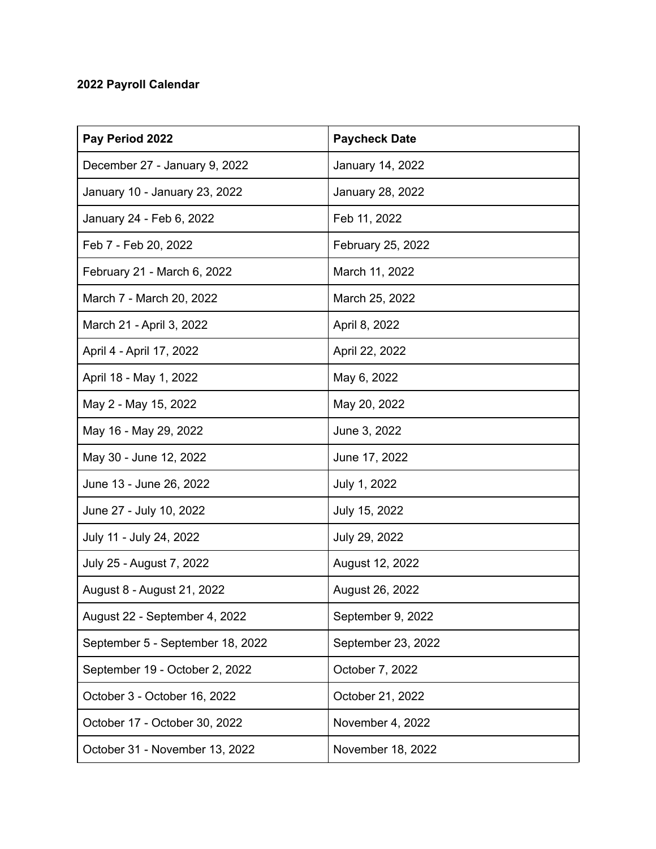## **2022 Payroll Calendar**

| Pay Period 2022                  | <b>Paycheck Date</b> |
|----------------------------------|----------------------|
| December 27 - January 9, 2022    | January 14, 2022     |
| January 10 - January 23, 2022    | January 28, 2022     |
| January 24 - Feb 6, 2022         | Feb 11, 2022         |
| Feb 7 - Feb 20, 2022             | February 25, 2022    |
| February 21 - March 6, 2022      | March 11, 2022       |
| March 7 - March 20, 2022         | March 25, 2022       |
| March 21 - April 3, 2022         | April 8, 2022        |
| April 4 - April 17, 2022         | April 22, 2022       |
| April 18 - May 1, 2022           | May 6, 2022          |
| May 2 - May 15, 2022             | May 20, 2022         |
| May 16 - May 29, 2022            | June 3, 2022         |
| May 30 - June 12, 2022           | June 17, 2022        |
| June 13 - June 26, 2022          | July 1, 2022         |
| June 27 - July 10, 2022          | July 15, 2022        |
| July 11 - July 24, 2022          | July 29, 2022        |
| July 25 - August 7, 2022         | August 12, 2022      |
| August 8 - August 21, 2022       | August 26, 2022      |
| August 22 - September 4, 2022    | September 9, 2022    |
| September 5 - September 18, 2022 | September 23, 2022   |
| September 19 - October 2, 2022   | October 7, 2022      |
| October 3 - October 16, 2022     | October 21, 2022     |
| October 17 - October 30, 2022    | November 4, 2022     |
| October 31 - November 13, 2022   | November 18, 2022    |